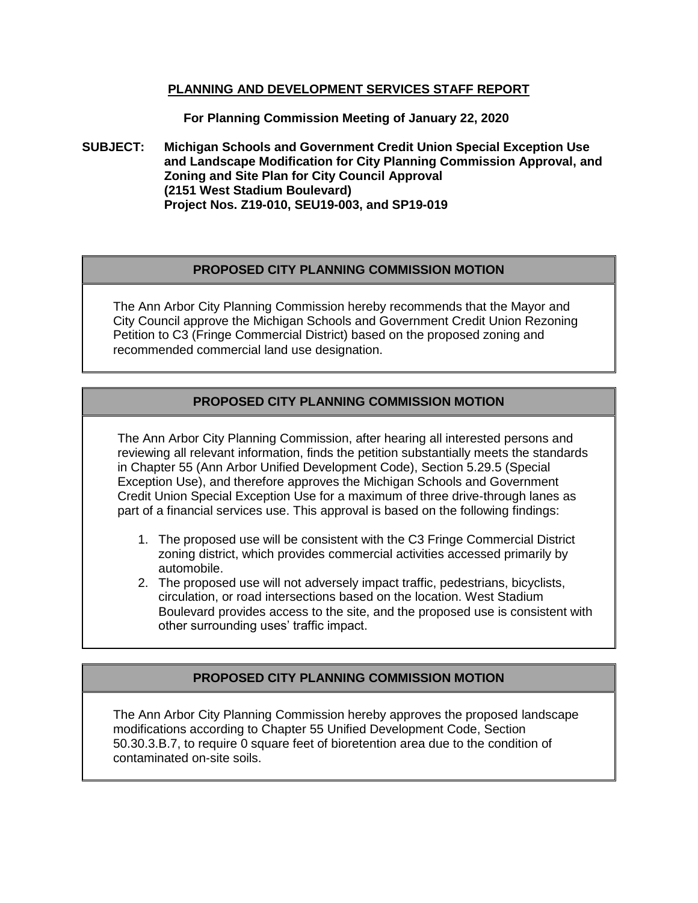## **PLANNING AND DEVELOPMENT SERVICES STAFF REPORT**

**For Planning Commission Meeting of January 22, 2020**

**SUBJECT: Michigan Schools and Government Credit Union Special Exception Use and Landscape Modification for City Planning Commission Approval, and Zoning and Site Plan for City Council Approval (2151 West Stadium Boulevard) Project Nos. Z19-010, SEU19-003, and SP19-019**

# **PROPOSED CITY PLANNING COMMISSION MOTION**

The Ann Arbor City Planning Commission hereby recommends that the Mayor and City Council approve the Michigan Schools and Government Credit Union Rezoning Petition to C3 (Fringe Commercial District) based on the proposed zoning and recommended commercial land use designation.

# **PROPOSED CITY PLANNING COMMISSION MOTION**

The Ann Arbor City Planning Commission, after hearing all interested persons and reviewing all relevant information, finds the petition substantially meets the standards in Chapter 55 (Ann Arbor Unified Development Code), Section 5.29.5 (Special Exception Use), and therefore approves the Michigan Schools and Government Credit Union Special Exception Use for a maximum of three drive-through lanes as part of a financial services use. This approval is based on the following findings:

- 1. The proposed use will be consistent with the C3 Fringe Commercial District zoning district, which provides commercial activities accessed primarily by automobile.
- 2. The proposed use will not adversely impact traffic, pedestrians, bicyclists, circulation, or road intersections based on the location. West Stadium Boulevard provides access to the site, and the proposed use is consistent with other surrounding uses' traffic impact.

# **PROPOSED CITY PLANNING COMMISSION MOTION**

The Ann Arbor City Planning Commission hereby approves the proposed landscape modifications according to Chapter 55 Unified Development Code, Section 50.30.3.B.7, to require 0 square feet of bioretention area due to the condition of contaminated on-site soils.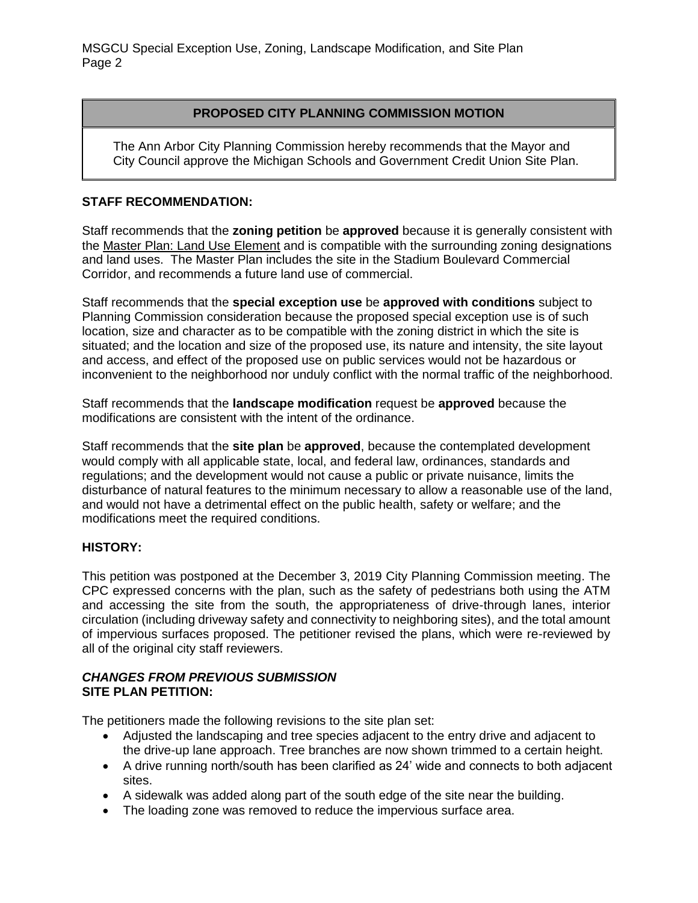MSGCU Special Exception Use, Zoning, Landscape Modification, and Site Plan Page 2

## **PROPOSED CITY PLANNING COMMISSION MOTION**

The Ann Arbor City Planning Commission hereby recommends that the Mayor and City Council approve the Michigan Schools and Government Credit Union Site Plan.

## **STAFF RECOMMENDATION:**

Staff recommends that the **zoning petition** be **approved** because it is generally consistent with the Master Plan: Land Use Element and is compatible with the surrounding zoning designations and land uses. The Master Plan includes the site in the Stadium Boulevard Commercial Corridor, and recommends a future land use of commercial.

Staff recommends that the **special exception use** be **approved with conditions** subject to Planning Commission consideration because the proposed special exception use is of such location, size and character as to be compatible with the zoning district in which the site is situated; and the location and size of the proposed use, its nature and intensity, the site layout and access, and effect of the proposed use on public services would not be hazardous or inconvenient to the neighborhood nor unduly conflict with the normal traffic of the neighborhood.

Staff recommends that the **landscape modification** request be **approved** because the modifications are consistent with the intent of the ordinance.

Staff recommends that the **site plan** be **approved**, because the contemplated development would comply with all applicable state, local, and federal law, ordinances, standards and regulations; and the development would not cause a public or private nuisance, limits the disturbance of natural features to the minimum necessary to allow a reasonable use of the land, and would not have a detrimental effect on the public health, safety or welfare; and the modifications meet the required conditions.

#### **HISTORY:**

This petition was postponed at the December 3, 2019 City Planning Commission meeting. The CPC expressed concerns with the plan, such as the safety of pedestrians both using the ATM and accessing the site from the south, the appropriateness of drive-through lanes, interior circulation (including driveway safety and connectivity to neighboring sites), and the total amount of impervious surfaces proposed. The petitioner revised the plans, which were re-reviewed by all of the original city staff reviewers.

## *CHANGES FROM PREVIOUS SUBMISSION* **SITE PLAN PETITION:**

The petitioners made the following revisions to the site plan set:

- Adjusted the landscaping and tree species adjacent to the entry drive and adjacent to the drive-up lane approach. Tree branches are now shown trimmed to a certain height.
- A drive running north/south has been clarified as 24' wide and connects to both adjacent sites.
- A sidewalk was added along part of the south edge of the site near the building.
- The loading zone was removed to reduce the impervious surface area.